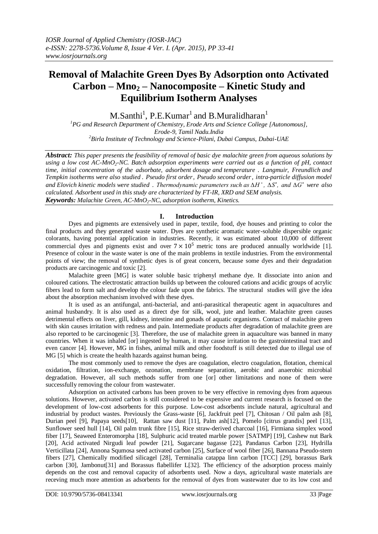# **Removal of Malachite Green Dyes By Adsorption onto Activated Carbon – Mno<sup>2</sup> – Nanocomposite – Kinetic Study and Equilibrium Isotherm Analyses**

M.Santhi<sup>1</sup>, P.E.Kumar<sup>1</sup> and B.Muralidharan<sup>1</sup>

*<sup>1</sup>PG and Research Department of Chemistry, Erode Arts and Science College [Autonomous], Erode-9, Tamil Nadu.India <sup>2</sup>Birla Institute of Technology and Science-Pilani, Dubai Campus, Dubai-UAE*

*Abstract: This paper presents the feasibility of removal of basic dye malachite green from aqueous solutions by using a low cost AC-MnO2-NC. Batch adsorption experiments were carried out as a function of pH, contact time, initial concentration of the adsorbate, adsorbent dosage and temperature . Langmuir, Freundlich and Tempkin isotherms were also studied . Pseudo first order, Pseudo second order, intra-particle diffusion model and Elovich kinetic models were studied . Thermodynamic parameters such as ∆H ̊ , ∆S ̊, and ∆G ̊were also calculated. Adsorbent used in this study are characterized by FT-IR, XRD and SEM analysis. Keywords: Malachite Green, AC-MnO2-NC, adsorption isotherm, Kinetics.*

# **I. Introduction**

Dyes and pigments are extensively used in paper, textile, food, dye houses and printing to color the final products and they generated waste water. Dyes are synthetic aromatic water-soluble dispersible organic colorants, having potential application in industries. Recently, it was estimated about 10,000 of different commercial dyes and pigments exist and over  $7 \times 10^5$  metric tons are produced annually worldwide [1]. Presence of colour in the waste water is one of the main problems in textile industries. From the environmental points of view; the removal of synthetic dyes is of great concern, because some dyes and their degradation products are carcinogenic and toxic [2].

Malachite green [MG] is water soluble basic triphenyl methane dye. It dissociate into anion and coloured cations. The electrostatic attraction builds up between the coloured cations and acidic groups of acrylic fibers lead to form salt and develop the colour fade upon the fabrics. The structural studies will give the idea about the absorption mechanism involved with these dyes.

It is used as an antifungal, anti-bacterial, and anti-parasitical therapeutic agent in aquacultures and animal husbandry. It is also used as a direct dye for silk, wool, jute and leather. Malachite green causes detrimental effects on liver, gill, kidney, intestine and gonads of aquatic organisms. Contact of malachite green with skin causes irritation with redness and pain. Intermediate products after degradation of malachite green are also reported to be carcinogenic [3]. Therefore, the use of malachite green in aquaculture was banned in many countries. When it was inhaled [or] ingested by human, it may cause irritation to the gastrointestinal tract and even cancer [4]. However, MG in fishes, animal milk and other foodstuff is still detected due to illegal use of MG [5] which is create the health hazards against human being.

The most commonly used to remove the dyes are coagulation, electro coagulation, flotation, chemical oxidation, filtration, ion-exchange, ozonation, membrane separation, aerobic and anaerobic microbial degradation. However, all such methods suffer from one [or] other limitations and none of them were successfully removing the colour from wastewater.

Adsorption on activated carbons has been proven to be very effective in removing dyes from aqueous solutions. However, activated carbon is still considered to be expensive and current research is focused on the development of low-cost adsorbents for this purpose. Low-cost adsorbents include natural, agricultural and industrial by product wastes. Previously the Grass-waste [6], Jackfruit peel [7], Chitosan / Oil palm ash [8], Durian peel [9], Papaya seeds[10], Rattan saw dust [11], Palm ash[12], Pomelo [citrus grandis] peel [13], Sunflower seed hull [14], Oil palm trunk fibre [15], Rice straw-derived charcoal [16], Firmiana simplex wood fiber [17], Seaweed Enteromorpha [18], Sulphuric acid treated marble power [SATMP] [19], Cashew nut Bark [20], Acid activated Nirgudi leaf powder [21], Sugarcane bagasse [22], Pandanus Carbon [23], Hydrilla Verticillata [24], Annona Squmosa seed activated carbon [25], Surface of wool fiber [26], Bannana Pseudo-stem fibers [27], Chemically modified silicagel [28], Terminalia catappa linn carbon [TCC] [29], borassus Bark carbon [30], Jambonut[31] and Borassus flabellifer L[32]. The efficiency of the adsorption process mainly depends on the cost and removal capacity of adsorbents used. Now a days, agricultural waste materials are receving much more attention as adsorbents for the removal of dyes from wastewater due to its low cost and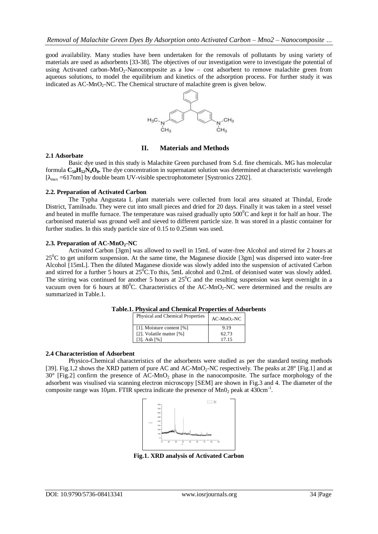good availability. Many studies have been undertaken for the removals of pollutants by using variety of materials are used as adsorbents [33-38]. The objectives of our investigation were to investigate the potential of using Activated carbon-MnO<sub>2</sub>-Nanocomposite as a low – cost adsorbent to remove malachite green from aqueous solutions, to model the equilibrium and kinetics of the adsorption process. For further study it was indicated as  $AC-MnO<sub>2</sub>-NC$ . The Chemical structure of malachite green is given below.



## **II. Materials and Methods**

#### **2.1 Adsorbate**

Basic dye used in this study is Malachite Green purchased from S.d. fine chemicals. MG has molecular formula **C50H52N4O8.** The dye concentration in supernatant solution was determined at characteristic wavelength  $[\lambda_{\text{max}} = 617$ nm] by double beam UV-visible spectrophotometer [Systronics 2202].

### **2.2. Preparation of Activated Carbon**

The Typha Angustata L plant materials were collected from local area situated at Thindal, Erode District, Tamilnadu. They were cut into small pieces and dried for 20 days. Finally it was taken in a steel vessel and heated in muffle furnace. The temperature was raised gradually upto  $500^{\circ}$ C and kept it for half an hour. The carbonised material was ground well and sieved to different particle size. It was stored in a plastic container for further studies. In this study particle size of 0.15 to 0.25mm was used.

### **2.3. Preparation of AC-MnO2-NC**

Activated Carbon [3gm] was allowed to swell in 15mL of water-free Alcohol and stirred for 2 hours at  $25^{\circ}$ C to get uniform suspension. At the same time, the Maganese dioxide [3gm] was dispersed into water-free Alcohol [15mL]. Then the diluted Maganese dioxide was slowly added into the suspension of activated Carbon and stirred for a further 5 hours at  $25^{\circ}$ C.To this, 5mL alcohol and 0.2mL of deionised water was slowly added. The stirring was continued for another 5 hours at  $25^{\circ}$ C and the resulting suspension was kept overnight in a vacuum oven for 6 hours at  $80^{\circ}$ C. Characteristics of the AC-MnO<sub>2</sub>-NC were determined and the results are summarized in Table.1.

| Physical and Chemical Properties | $AC-MnO2-NC$ |
|----------------------------------|--------------|
| [1]. Moisture content [%]        | 9.19         |
| [2]. Volatile matter [%]         | 62.73        |
| [3]. Ash $[%]$                   | 17 15        |

## **Table.1. Physical and Chemical Properties of Adsorbents**

#### **2.4 Characteristion of Adsorbent**

Physico-Chemical characteristics of the adsorbents were studied as per the standard testing methods [39]. Fig.1,2 shows the XRD pattern of pure AC and AC-MnO<sub>2</sub>-NC respectively. The peaks at 28° [Fig.1] and at 30° [Fig.2] confirm the presence of AC-MnO<sup>2</sup> phase in the nanocomposite. The surface morphology of the adsorbent was visulised via scanning electron microscopy [SEM] are shown in Fig.3 and 4. The diameter of the composite range was 10 $\mu$ m. FTIR spectra indicate the presence of Mn0<sub>2</sub> peak at 430cm<sup>-1</sup>.



**Fig.1. XRD analysis of Activated Carbon**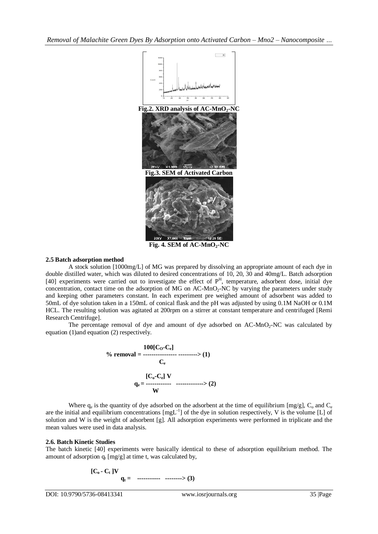*Removal of Malachite Green Dyes By Adsorption onto Activated Carbon – Mno2 – Nanocomposite …*



**Fig. 4. SEM of AC-MnO2-NC**

## **2.5 Batch adsorption method**

A stock solution [1000mg/L] of MG was prepared by dissolving an appropriate amount of each dye in double distilled water, which was diluted to desired concentrations of 10, 20, 30 and 40mg/L. Batch adsorption [40] experiments were carried out to investigate the effect of  $P<sup>H</sup>$ , temperature, adsorbent dose, initial dye concentration, contact time on the adsorption of  $MG$  on  $AC-MnO<sub>2</sub>-NC$  by varying the parameters under study and keeping other parameters constant. In each experiment pre weighed amount of adsorbent was added to 50mL of dye solution taken in a 150mL of conical flask and the pH was adjusted by using 0.1M NaOH or 0.1M HCL. The resulting solution was agitated at 200rpm on a stirrer at constant temperature and centrifuged [Remi Research Centrifuge].

The percentage removal of dye and amount of dye adsorbed on  $AC-MnO<sub>2</sub>-NC$  was calculated by equation (1)and equation (2) respectively.



Where  $q_e$  is the quantity of dye adsorbed on the adsorbent at the time of equilibrium [mg/g],  $C_o$  and  $C_e$ are the initial and equilibrium concentrations  $[mgL^{-1}]$  of the dye in solution respectively, V is the volume [L] of solution and W is the weight of adsorbent [g]. All adsorption experiments were performed in triplicate and the mean values were used in data analysis.

# **2.6. Batch Kinetic Studies**

The batch kinetic [40] experiments were basically identical to these of adsorption equilibrium method. The amount of adsorption  $q_t$  [mg/g] at time t, was calculated by,

$$
[C_0 - C_t]V
$$
  
q<sub>t</sub> = 1111 cm<sup>-1</sup> cm<sup>-1</sup> cm<sup>-1</sup> cm<sup>-1</sup> cm<sup>-1</sup> cm<sup>-1</sup>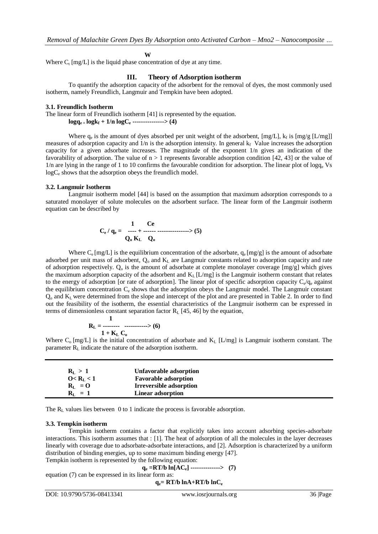## **W**

Where  $C_t$  [mg/L] is the liquid phase concentration of dye at any time.

#### **III. Theory of Adsorption isotherm**

To quantify the adsorption capacity of the adsorbent for the removal of dyes, the most commonly used isotherm, namely Freundlich, Langmuir and Tempkin have been adopted.

#### **3.1. Freundlich Isotherm**

The linear form of Freundlich isotherm [41] is represented by the equation.

 $log q_e = log k_f + 1/n log C_e$  ---------------> (4)

Where  $q_e$  is the amount of dyes absorbed per unit weight of the adsorbent, [mg/L],  $k_f$  is [mg/g [L/mg]] measures of adsorption capacity and  $1/n$  is the adsorption intensity. In general  $k_f$  Value increases the adsorption capacity for a given adsorbate increases. The magnitude of the exponent 1/n gives an indication of the favorability of adsorption. The value of  $n > 1$  represents favorable adsorption condition [42, 43] or the value of  $1/n$  are lying in the range of 1 to 10 confirms the favourable condition for adsorption. The linear plot of logq<sub>e</sub> Vs  $logC_e$  shows that the adsorption obeys the freundlich model.

#### **3.2. Langmuir Isotherm**

Langmuir isotherm model [44] is based on the assumption that maximum adsorption corresponds to a saturated monolayer of solute molecules on the adsorbent surface. The linear form of the Langmuir isotherm equation can be described by

$$
C_e / q_e = \frac{1}{Q_0 K_L} \frac{Ce}{Q_0}
$$
 (5)

Where  $C_e$  [mg/L] is the equilibrium concentration of the adsorbate,  $q_e$  [mg/g] is the amount of adsorbate adsorbed per unit mass of adsorbent, Q<sub>o</sub> and K<sub>L</sub> are Langmuir constants related to adsorption capacity and rate of adsorption respectively.  $Q_0$  is the amount of adsorbate at complete monolayer coverage [mg/g] which gives the maximum adsorption capacity of the adsorbent and  $K_L$  [L/mg] is the Langmuir isotherm constant that relates to the energy of adsorption [or rate of adsorption]. The linear plot of specific adsorption capacity  $C_e/q_e$  against the equilibrium concentration  $C_e$  shows that the adsorption obeys the Langmuir model. The Langmuir constant  $Q_0$  and  $K_L$  were determined from the slope and intercept of the plot and are presented in Table 2. In order to find out the feasibility of the isotherm, the essential characteristics of the Langmuir isotherm can be expressed in terms of dimensionless constant separation factor  $R_L$  [45, 46] by the equation,

$$
R_{L} = \frac{1}{1 + K_{L} C_{o}} \dots \dots \dots \dots \dots \dots \ge (6)
$$

Where  $C_0$  [mg/L] is the initial concentration of adsorbate and  $K_L$  [L/mg] is Langmuir isotherm constant. The parameter  $R_L$  indicate the nature of the adsorption isotherm.

| $R_L > 1$                              | Unfavorable adsorption         |  |
|----------------------------------------|--------------------------------|--|
| $0 < R_L < 1$                          | <b>Favorable adsorption</b>    |  |
| $\mathbf{R}_{\mathrm{L}} = \mathbf{O}$ | <b>Irreversible adsorption</b> |  |
| $R_L = 1$                              | <b>Linear adsorption</b>       |  |

The R<sub>L</sub> values lies between 0 to 1 indicate the process is favorable adsorption.

#### **3.3. Tempkin isotherm**

Tempkin isotherm contains a factor that explicitly takes into account adsorbing species-adsorbate interactions. This isotherm assumes that : [1]. The heat of adsorption of all the molecules in the layer decreases linearly with coverage due to adsorbate-adsorbate interactions, and [2]. Adsorption is characterized by a uniform distribution of binding energies, up to some maximum binding energy [47].

Tempkin isotherm is represented by the following equation:

$$
q_e = RT/b \ln[\widehat{AC}_e] \dots \dots \dots \dots \quad (7)
$$

equation (7) can be expressed in its linear form as:

# $q_e = RT/b \ln A + RT/b \ln C_e$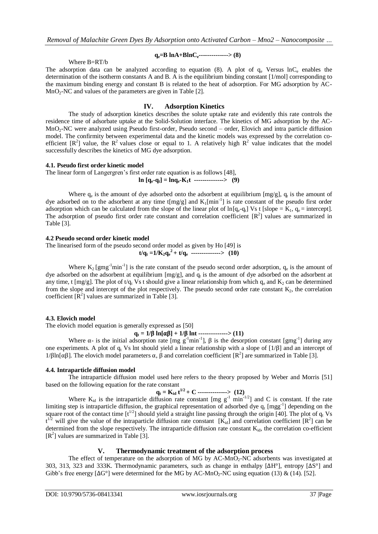# Where B=RT/b

# **qe=B lnA+BlnCe--------------> (8)**

The adsorption data can be analyzed according to equation (8). A plot of  $q_e$  Versus lnC<sub>e</sub> enables the determination of the isotherm constants A and B. A is the equilibrium binding constant [1/mol] corresponding to the maximum binding energy and constant B is related to the heat of adsorption. For MG adsorption by AC-MnO2-NC and values of the parameters are given in Table [2].

## **IV. Adsorption Kinetics**

The study of adsorption kinetics describes the solute uptake rate and evidently this rate controls the residence time of adsorbate uptake at the Solid-Solution interface. The kinetics of MG adsorption by the AC-MnO<sub>2</sub>-NC were analyzed using Pseudo first-order, Pseudo second – order, Elovich and intra particle diffusion model. The confirmity between experimental data and the kinetic models was expressed by the correlation coefficient  $[R^2]$  value, the  $R^2$  values close or equal to 1. A relatively high  $R^2$  value indicates that the model successfully describes the kinetics of MG dye adsorption.

### **4.1. Pseudo first order kinetic model**

The linear form of Langergren's first order rate equation is as follows [48],  $\ln [q_e - q_t] = \ln q_e - K_1 t$  ---------------> (9)

Where  $q_e$  is the amount of dye adsorbed onto the adsorbent at equilibrium [mg/g],  $q_t$  is the amount of dye adsorbed on to the adsorbent at any time  $t[mg/g]$  and  $K_1[min^{-1}]$  is rate constant of the pseudo first order adsorption which can be calculated from the slope of the linear plot of  $\ln[q_e-q_t]$  Vs t [slope = K<sub>1</sub>,  $q_e$  = intercept]. The adsorption of pseudo first order rate constant and correlation coefficient  $[R^2]$  values are summarized in Table [3].

## **4.2 Pseudo second order kinetic model**

The linearised form of the pseudo second order model as given by Ho [49] is **t/qt =1/K**<sub>2</sub>**q**<sup>2</sup> + **t/q**<sup>2</sup> **------------->** (10)

Where  $K_2$  [gmg<sup>-1</sup>min<sup>-1</sup>] is the rate constant of the pseudo second order adsorption,  $q_e$  is the amount of dye adsorbed on the adsorbent at equilibrium  $[mg/g]$ , and  $q_t$  is the amount of dye adsorbed on the adsorbent at any time, t  $[mg/g]$ . The plot of  $t/q_t$  Vs t should give a linear relationship from which  $q_e$  and  $K_2$  can be determined from the slope and intercept of the plot respectively. The pseudo second order rate constant  $K_2$ , the correlation coefficient  $[R^2]$  values are summarized in Table [3].

### **4.3. Elovich model**

The elovich model equation is generally expressed as [50]

 $q_t = 1/\beta \ln[\alpha\beta] + 1/\beta \ln[1]$  ----------------> (11)

Where  $\alpha$ - is the initial adsorption rate [mg g<sup>-1</sup>min<sup>-1</sup>],  $\beta$  is the desorption constant [gmg<sup>-1</sup>] during any one experiments. A plot of  $q_t$  Vs lnt should yield a linear relationship with a slope of  $[1/\beta]$  and an intercept of 1/βln[αβ]. The elovich model parameters  $\alpha$ ,  $\beta$  and correlation coefficient [R<sup>2</sup>] are summarized in Table [3].

### **4.4. Intraparticle diffusion model**

The intraparticle diffusion model used here refers to the theory proposed by Weber and Morris [51] based on the following equation for the rate constant

$$
q_t = K_{id} t^{1/2} + C \cdots (12)
$$

Where  $K_{id}$  is the intraparticle diffusion rate constant [mg  $g^{-1}$  min<sup>-1/2</sup>] and C is constant. If the rate limiting step is intraparticle diffusion, the graphical representation of adsorbed dye  $q_t$  [mgg<sup>-1</sup>] depending on the square root of the contact time  $[t^{1/2}]$  should yield a straight line passing through the origin [40]. The plot of  $q_t$  Vs  $t^{1/2}$  will give the value of the intraparticle diffusion rate constant [K<sub>id</sub>] and correlation coefficient [R<sup>2</sup>] can be determined from the slope respectively. The intraparticle diffusion rate constant  $K_{id}$ , the correlation co-efficient [R 2 ] values are summarized in Table [3].

# **V. Thermodynamic treatment of the adsorption process**

The effect of temperature on the adsorption of MG by  $AC-MnO<sub>2</sub>-NC$  adsorbents was investigated at 303, 313, 323 and 333K. Thermodynamic parameters, such as change in enthalpy [ΔH°], entropy [ΔS°] and Gibb's free energy  $[\Delta G^{\circ}]$  were determined for the MG by AC-MnO<sub>2</sub>-NC using equation (13) & (14). [52].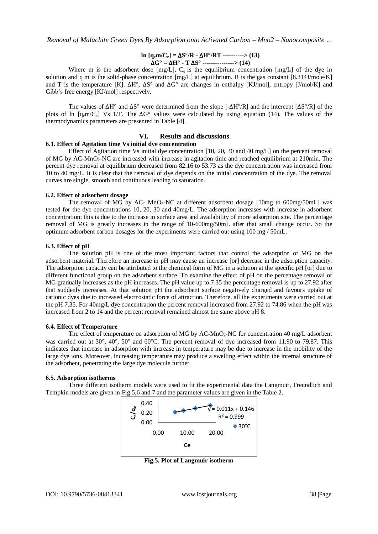## **ln**  $[q_e m/C_e] = ΔS^\circ/R - ΔH^\circ/RT$  ----------> (13) Δ**G° =** Δ**H° - T** Δ**S° ---------------> (14)**

Where m is the adsorbent dose  $[mg/L]$ ,  $C_e$  is the equilibrium concentration  $[mg/L]$  of the dye in solution and  $q<sub>e</sub>m$  is the solid-phase concentration [mg/L] at equilibrium. R is the gas constant [8.314J/mole/K] and T is the temperature [K].  $\Delta H^{\circ}$ ,  $\Delta S^{\circ}$  and  $\Delta G^{\circ}$  are changes in enthalpy [KJ/mol], entropy [J/mol/K] and Gibb's free energy [KJ/mol] respectively.

The values of  $\Delta H^{\circ}$  and  $\Delta S^{\circ}$  were determined from the slope  $[-\Delta H^{\circ}/R]$  and the intercept  $[\Delta S^{\circ}/R]$  of the plots of ln  $[q_e m/C_e]$  Vs 1/T. The  $\Delta G^{\circ}$  values were calculated by using equation (14). The values of the thermodynamics parameters are presented in Table [4].

## **VI. Results and discussions**

### **6.1. Effect of Agitation time Vs initial dye concentration**

Effect of Agitation time Vs initial dye concentration [10, 20, 30 and 40 mg/L] on the percent removal of MG by AC-MnO2-NC are increased with increase in agitation time and reached equilibrium at 210min. The percent dye removal at equilibrium decreased from 82.16 to 53.73 as the dye concentration was increased from 10 to 40 mg/L. It is clear that the removal of dye depends on the initial concentration of the dye. The removal curves are single, smooth and continuous leading to saturation.

#### **6.2. Effect of adsorbent dosage**

The removal of MG by AC- MnO<sub>2</sub>-NC at different adsorbent dosage [10mg to 600mg/50mL] was tested for the dye concentrations 10, 20, 30 and 40mg/L. The adsorption increases with increase in adsorbent concentration; this is due to the increase in surface area and availability of more adsorption site. The percentage removal of MG is greatly increases in the range of 10-600mg/50mL after that small change occur. So the optimum adsorbent carbon dosages for the experiments were carried out using 100 mg / 50mL.

### **6.3. Effect of pH**

The solution pH is one of the most important factors that control the adsorption of MG on the adsorbent material. Therefore an increase in pH may cause an increase [or] decrease in the adsorption capacity. The adsorption capacity can be attributed to the chemical form of MG in a solution at the specific pH [or] due to different functional group on the adsorbent surface. To examine the effect of pH on the percentage removal of MG gradually increases as the pH increases. The pH value up to 7.35 the percentage removal is up to 27.92 after that suddenly increases. At that solution pH the adsorbent surface negatively charged and favours uptake of cationic dyes due to increased electrostatic force of attraction. Therefore, all the experiments were carried out at the pH 7.35. For 40mg/L dye concentration the percent removal increased from 27.92 to 74.86 when the pH was increased from 2 to 14 and the percent removal remained almost the same above pH 8.

### **6.4. Effect of Temperature**

The effect of temperature on adsorption of MG by AC-MnO<sub>2</sub>-NC for concentration 40 mg/L adsorbent was carried out at 30°, 40°, 50° and 60°C. The percent removal of dye increased from 11.90 to 79.87. This indicates that increase in adsorption with increase in temperature may be due to increase in the mobility of the large dye ions. Moreover, increasing temperature may produce a swelling effect within the internal structure of the adsorbent, penetrating the large dye molecule further.

### **6.5. Adsorption isotherms**

Three different isotherm models were used to fit the experimental data the Langmuir, Freundlich and Tempkin models are given in Fig.5,6 and 7 and the parameter values are given in the Table 2.



**Fig.5. Plot of Langmuir isotherm**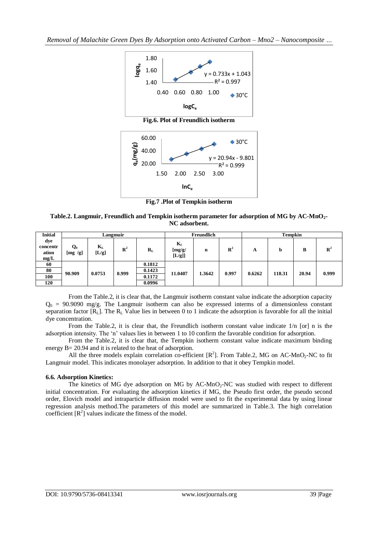

**Fig.7 .Plot of Tempkin isotherm**

**Table.2. Langmuir, Freundlich and Tempkin isotherm parameter for adsorption of MG by AC-MnO2- NC adsorbent.**

| <b>Initial</b>                   | Langmuir         |                  |                |         | Freundlich                |                  |                | <b>Tempkin</b> |       |   |                |
|----------------------------------|------------------|------------------|----------------|---------|---------------------------|------------------|----------------|----------------|-------|---|----------------|
| dye<br>concentr<br>ation<br>mg/L | $Q_0$<br>[mg/g]  | $K_{L}$<br>[L/g] | $\mathbf{R}^2$ | $R_{L}$ | $K_f$<br>[mg/g]<br>[L/g]] | $\mathbf n$      | $\mathbb{R}^2$ | A              | b     | в | $\mathbf{R}^2$ |
| 60                               |                  |                  |                | 0.1812  |                           |                  |                |                |       |   |                |
| 80                               | 90.909<br>0.0753 | 0.1423           | 11.0407        | 1.3642  | 0.997                     | 0.6262<br>118.31 |                | 20.94          | 0.999 |   |                |
| 100                              |                  | 0.999<br>0.1172  |                |         |                           |                  |                |                |       |   |                |
| 120                              |                  |                  |                | 0.0996  |                           |                  |                |                |       |   |                |

From the Table.2, it is clear that, the Langmuir isotherm constant value indicate the adsorption capacity  $Q_0 = 90.9090$  mg/g. The Langmuir isotherm can also be expressed interms of a dimensionless constant separation factor  $[R_L]$ . The  $R_L$  Value lies in between 0 to 1 indicate the adsorption is favorable for all the initial dye concentration.

From the Table.2, it is clear that, the Freundlich isotherm constant value indicate 1/n [or] n is the adsorption intensity. The 'n' values lies in between 1 to 10 confirm the favorable condition for adsorption.

From the Table.2, it is clear that, the Tempkin isotherm constant value indicate maximum binding energy B= 20.94 and it is related to the heat of adsorption.

All the three models explain correlation co-efficient  $[R^2]$ . From Table.2, MG on AC-MnO<sub>2</sub>-NC to fit Langmuir model. This indicates monolayer adsorption. In addition to that it obey Tempkin model.

### **6.6. Adsorption Kinetics:**

The kinetics of MG dye adsorption on MG by  $AC-MnO<sub>2</sub>-NC$  was studied with respect to different initial concentration. For evaluating the adsorption kinetics if MG, the Pseudo first order, the pseudo second order, Elovich model and intraparticle diffusion model were used to fit the experimental data by using linear regression analysis method.The parameters of this model are summarized in Table.3. The high correlation coefficient  $[R^2]$  values indicate the fitness of the model.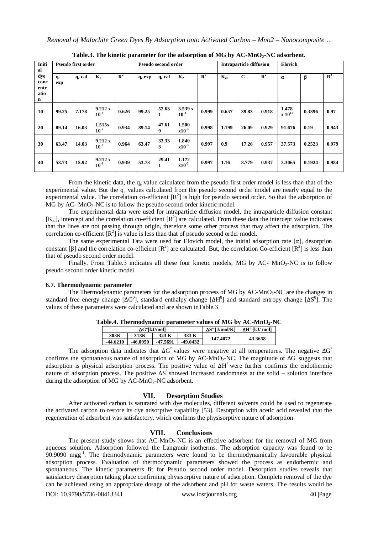| Initi<br>al                                |                              | <b>Pseudo first order</b> | Intraparticle diffusion<br>Pseudo second order |                |                    |                    |                      |                | Elovich  |             |             |                                    |        |             |
|--------------------------------------------|------------------------------|---------------------------|------------------------------------------------|----------------|--------------------|--------------------|----------------------|----------------|----------|-------------|-------------|------------------------------------|--------|-------------|
| dye<br>conc<br>entr<br>atio<br>$\mathbf n$ | <b>q</b> <sub>e</sub><br>exp | $q_e$ cal                 | $\mathbf{K}_1$                                 | $\mathbb{R}^2$ | q <sub>e</sub> exp | q <sub>e</sub> cal | $\mathbf{K}_2$       | $\mathbb{R}^2$ | $K_{id}$ | $\mathbf C$ | ${\bf R}^2$ | α                                  | β      | ${\bf R}^2$ |
| 10                                         | 99.25                        | 7.178                     | 9.212 x<br>$10^{-3}$                           | 0.626          | 99.25              | 52.63<br>1         | 3.539 x<br>$10^{-3}$ | 0.999          | 0.657    | 39.83       | 0.918       | 1.478<br>$\bf{X}$ 10 <sup>15</sup> | 0.3396 | 0.97        |
| 20                                         | 89.14                        | 16.03                     | 1.515x<br>$10^{-2}$                            | 0.934          | 89.14              | 47.61<br>9         | 1.500<br>$x10^{-3}$  | 0.998          | 1.199    | 26.09       | 0.929       | 91.676                             | 0.19   | 0.943       |
| 30                                         | 63.47                        | 14.03                     | 9.212 x<br>$10^{-3}$                           | 0.964          | 63.47              | 33.33<br>3         | 1.840<br>$x10^{-3}$  | 0.997          | 0.9      | 17.26       | 0.957       | 37.573                             | 0.2523 | 0.979       |
| 40                                         | 53.73                        | 15.92                     | 9.212 x<br>$10^{-3}$                           | 0.939          | 53.73              | 29.41<br>1         | 1.172<br>$x10^{-3}$  | 0.997          | 1.16     | 8.779       | 0.937       | 3.3065                             | 0.1924 | 0.984       |

**Table.3. The kinetic parameter for the adsorption of MG by AC-MnO2-NC adsorbent.**

From the kinetic data, the  $q_e$  value calculated from the pseudo first order model is less than that of the experimental value. But the q<sub>e</sub> values calculated from the pseudo second order model are nearly equal to the experimental value. The correlation co-efficient  $[R^2]$  is high for pseudo second order. So that the adsorption of  $MG$  by AC-  $MnO_2$ -NC is to follow the pseudo second order kinetic model.

The experimental data were used for intraparticle diffusion model, the intraparticle diffusion constant  $[K_{id}]$ , intercept and the correlation co-efficient  $[R^2]$  are calculated. From these data the intercept value indicates that the lines are not passing through origin, therefore some other process that may affect the adsorption. The correlation co-efficient  $[\mathbb{R}^2]$  is value is less than that of pseudo second order model.

The same experimental Tata were used for Elovich model, the initial adsorption rate  $[\alpha]$ , desorption constant [ $\beta$ ] and the correlation co-efficient [ $R^2$ ] are calculated. But, the correlation Co-efficient [ $R^2$ ] is less than that of pseudo second order model.

Finally, From Table.3 indicates all these four kinetic models, MG by AC-  $MnO<sub>2</sub>-NC$  is to follow pseudo second order kinetic model.

### **6.7. Thermodynamic parameter**

The Thermodynamic parameters for the adsorption process of MG by  $AC-MnO<sub>2</sub>-NC$  are the changes in standard free energy change [ $\Delta G^0$ ], standard enthalpy change [ $\Delta H^0$ ] and standard entropy change [ $\Delta S^0$ ]. The values of these parameters were calculated and are shown inTable.3

|  |  | Table.4. Thermodynamic parameter values of MG by $AC\text{-}MnO_2\text{-}NC$ |  |  |
|--|--|------------------------------------------------------------------------------|--|--|
|--|--|------------------------------------------------------------------------------|--|--|

|            | $\Delta G^o$ [kJ/mol] |          | $\Delta S^{\circ}$ [J/mol/K] | $\Delta H^{\rm o}$ [kJ/ mol] |         |  |
|------------|-----------------------|----------|------------------------------|------------------------------|---------|--|
| 303K       | 313K                  | 323 K    | 333 K                        | 147.4072                     |         |  |
| $-44.6210$ | -46.0950              | -47.5691 | $-49.0432$                   |                              | 43.3658 |  |
|            |                       |          |                              |                              |         |  |

The adsorption data indicates that  $\Delta G^{\circ}$  values were negative at all temperatures. The negative  $\Delta G^{\circ}$ confirms the spontaneous nature of adsorption of MG by AC-MnO<sub>2</sub>-NC. The magnitude of  $\Delta G$ <sup>°</sup> suggests that adsorption is physical adsorption process. The positive value of ΔH ° were further confirms the endothermic nature of adsorption process. The positive ΔS ° showed increased randomness at the solid – solution interface during the adsorption of MG by  $AC-MnO<sub>2</sub>-NC$  adsorbent.

# **VII. Desorption Studies**

After activated carbon is saturated with dye molecules, different solvents could be used to regenerate the activated carbon to restore its dye adsorptive capability [53]. Desorption with acetic acid revealed that the regeneration of adsorbent was satisfactory, which confirms the physisorptive nature of adsorption.

# **VIII. Conclusions**

The present study shows that  $AC-MnO_2-NC$  is an effective adsorbent for the removal of MG from aqueous solution. Adsorption followed the Langmuir isotherms. The adsorption capacity was found to be 90.9090 mgg<sup>-1</sup>. The thermodynamic parameters were found to be thermodynamically favourable physical adsorption process. Evaluation of thermodynamic parameters showed the process as endothermic and spontaneous. The kinetic parameters fit for Pseudo second order model. Desorption studies reveals that satisfactory desorption taking place confirming physisorptive nature of adsorption. Complete removal of the dye can be achieved using an appropriate dosage of the adsorbent and pH for waste waters. The results would be